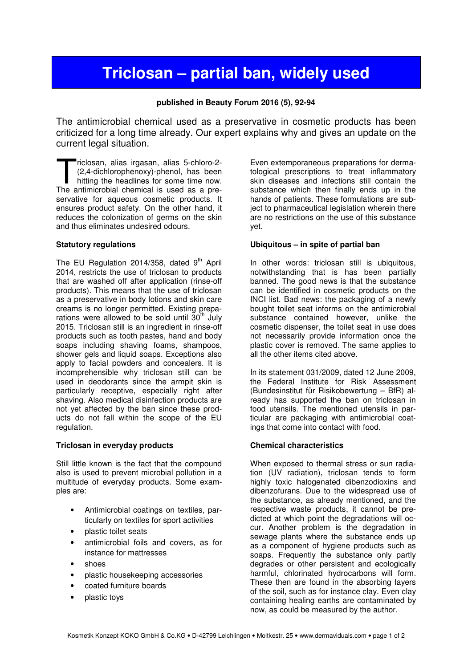# **Triclosan – partial ban, widely used**

## **published in Beauty Forum 2016 (5), 92-94**

The antimicrobial chemical used as a preservative in cosmetic products has been criticized for a long time already. Our expert explains why and gives an update on the current legal situation.

riclosan, alias irgasan, alias 5-chloro-2- (2,4-dichlorophenoxy)-phenol, has been hitting the headlines for some time now. riclosan, alias irgasan, alias 5-chloro-2-<br>
(2,4-dichlorophenoxy)-phenol, has been<br>
hitting the headlines for some time now.<br>
The antimicrobial chemical is used as a preservative for aqueous cosmetic products. It ensures product safety. On the other hand, it reduces the colonization of germs on the skin and thus eliminates undesired odours.

## **Statutory regulations**

The EU Regulation 2014/358, dated  $9<sup>th</sup>$  April 2014, restricts the use of triclosan to products that are washed off after application (rinse-off products). This means that the use of triclosan as a preservative in body lotions and skin care creams is no longer permitted. Existing preparations were allowed to be sold until  $30<sup>th</sup>$  July 2015. Triclosan still is an ingredient in rinse-off products such as tooth pastes, hand and body soaps including shaving foams, shampoos, shower gels and liquid soaps. Exceptions also apply to facial powders and concealers. It is incomprehensible why triclosan still can be used in deodorants since the armpit skin is particularly receptive, especially right after shaving. Also medical disinfection products are not yet affected by the ban since these products do not fall within the scope of the EU regulation.

## **Triclosan in everyday products**

Still little known is the fact that the compound also is used to prevent microbial pollution in a multitude of everyday products. Some examples are:

- Antimicrobial coatings on textiles, particularly on textiles for sport activities
- plastic toilet seats
- antimicrobial foils and covers, as for instance for mattresses
- shoes
- plastic housekeeping accessories
- coated furniture boards
- plastic toys

Even extemporaneous preparations for dermatological prescriptions to treat inflammatory skin diseases and infections still contain the substance which then finally ends up in the hands of patients. These formulations are subject to pharmaceutical legislation wherein there are no restrictions on the use of this substance yet.

### **Ubiquitous – in spite of partial ban**

In other words: triclosan still is ubiquitous, notwithstanding that is has been partially banned. The good news is that the substance can be identified in cosmetic products on the INCI list. Bad news: the packaging of a newly bought toilet seat informs on the antimicrobial substance contained however, unlike the cosmetic dispenser, the toilet seat in use does not necessarily provide information once the plastic cover is removed. The same applies to all the other items cited above.

In its statement 031/2009, dated 12 June 2009, the Federal Institute for Risk Assessment (Bundesinstitut für Risikobewertung – BfR) already has supported the ban on triclosan in food utensils. The mentioned utensils in particular are packaging with antimicrobial coatings that come into contact with food.

## **Chemical characteristics**

When exposed to thermal stress or sun radiation (UV radiation), triclosan tends to form highly toxic halogenated dibenzodioxins and dibenzofurans. Due to the widespread use of the substance, as already mentioned, and the respective waste products, it cannot be predicted at which point the degradations will occur. Another problem is the degradation in sewage plants where the substance ends up as a component of hygiene products such as soaps. Frequently the substance only partly degrades or other persistent and ecologically harmful, chlorinated hydrocarbons will form. These then are found in the absorbing layers of the soil, such as for instance clay. Even clay containing healing earths are contaminated by now, as could be measured by the author.